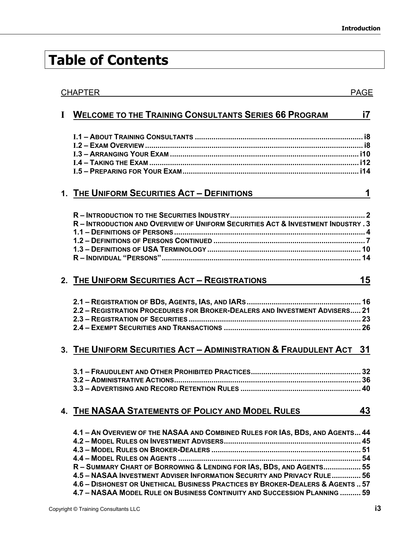## **Table of Contents**

| <b>CHAPTER</b> |                                                                                                                                                                                                                                                                                                                                                                                                 | <b>PAGE</b> |
|----------------|-------------------------------------------------------------------------------------------------------------------------------------------------------------------------------------------------------------------------------------------------------------------------------------------------------------------------------------------------------------------------------------------------|-------------|
| $\mathbf I$    | <b>WELCOME TO THE TRAINING CONSULTANTS SERIES 66 PROGRAM</b>                                                                                                                                                                                                                                                                                                                                    | i7          |
|                |                                                                                                                                                                                                                                                                                                                                                                                                 |             |
|                | 1. THE UNIFORM SECURITIES ACT - DEFINITIONS                                                                                                                                                                                                                                                                                                                                                     | 1           |
|                | R - INTRODUCTION AND OVERVIEW OF UNIFORM SECURITIES ACT & INVESTMENT INDUSTRY . 3<br>R - INDIVIDUAL "PERSONS" ……………………………………………………………………………………… 14                                                                                                                                                                                                                                              |             |
|                | 2. THE UNIFORM SECURITIES ACT - REGISTRATIONS                                                                                                                                                                                                                                                                                                                                                   | 15          |
|                | 2.2 - REGISTRATION PROCEDURES FOR BROKER-DEALERS AND INVESTMENT ADVISERS 21                                                                                                                                                                                                                                                                                                                     |             |
|                | 3. THE UNIFORM SECURITIES ACT - ADMINISTRATION & FRAUDULENT ACT 31                                                                                                                                                                                                                                                                                                                              |             |
|                |                                                                                                                                                                                                                                                                                                                                                                                                 |             |
|                | 4. THE NASAA STATEMENTS OF POLICY AND MODEL RULES                                                                                                                                                                                                                                                                                                                                               | 43          |
|                | 4.1 - AN OVERVIEW OF THE NASAA AND COMBINED RULES FOR IAS, BDS, AND AGENTS 44<br>R - SUMMARY CHART OF BORROWING & LENDING FOR IAS, BDS, AND AGENTS 55<br>4.5 - NASAA INVESTMENT ADVISER INFORMATION SECURITY AND PRIVACY RULE 56<br>4.6 - DISHONEST OR UNETHICAL BUSINESS PRACTICES BY BROKER-DEALERS & AGENTS  57<br>4.7 - NASAA MODEL RULE ON BUSINESS CONTINUITY AND SUCCESSION PLANNING  59 |             |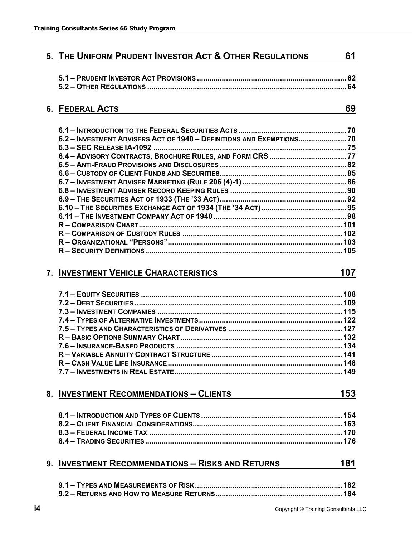|    | <b>6. FEDERAL ACTS</b>                                             | 69  |
|----|--------------------------------------------------------------------|-----|
|    |                                                                    |     |
|    | 6.2 - INVESTMENT ADVISERS ACT OF 1940 - DEFINITIONS AND EXEMPTIONS |     |
|    |                                                                    |     |
|    |                                                                    |     |
|    |                                                                    |     |
|    |                                                                    |     |
|    |                                                                    |     |
|    |                                                                    |     |
|    |                                                                    |     |
|    |                                                                    |     |
|    |                                                                    |     |
|    |                                                                    |     |
|    |                                                                    |     |
|    |                                                                    |     |
|    |                                                                    |     |
|    | 7. INVESTMENT VEHICLE CHARACTERISTICS                              | 107 |
|    |                                                                    |     |
|    |                                                                    |     |
|    |                                                                    |     |
|    |                                                                    |     |
|    |                                                                    |     |
|    |                                                                    |     |
|    |                                                                    |     |
|    |                                                                    |     |
|    |                                                                    |     |
|    |                                                                    |     |
|    | 8. INVESTMENT RECOMMENDATIONS - CLIENTS                            | 153 |
|    |                                                                    |     |
|    |                                                                    |     |
|    |                                                                    |     |
|    |                                                                    |     |
|    |                                                                    |     |
| 9. | <b>INVESTMENT RECOMMENDATIONS - RISKS AND RETURNS</b>              | 181 |
|    |                                                                    |     |

**5. THE UNIFORM PRUDENT INVESTOR ACT & OTHER REGULATIONS 61**

**5.1 – PRUDENT INVESTOR ACT PROVISIONS ........................................................................ 62**